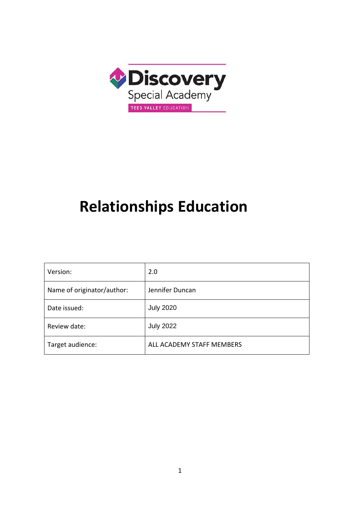

# **Relationships Education**

| Version:                   | 2.0                       |
|----------------------------|---------------------------|
| Name of originator/author: | Jennifer Duncan           |
| Date issued:               | <b>July 2020</b>          |
| Review date:               | <b>July 2022</b>          |
| Target audience:           | ALL ACADEMY STAFF MEMBERS |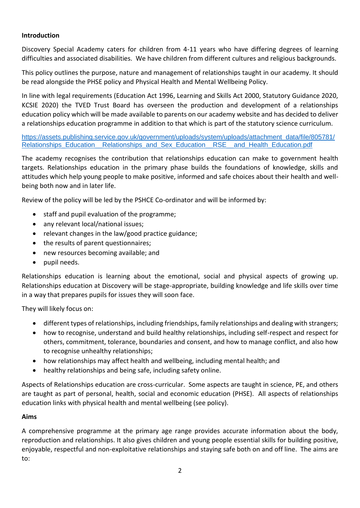# **Introduction**

Discovery Special Academy caters for children from 4-11 years who have differing degrees of learning difficulties and associated disabilities. We have children from different cultures and religious backgrounds.

This policy outlines the purpose, nature and management of relationships taught in our academy. It should be read alongside the PHSE policy and Physical Health and Mental Wellbeing Policy.

In line with legal requirements (Education Act 1996, Learning and Skills Act 2000, Statutory Guidance 2020, KCSIE 2020) the TVED Trust Board has overseen the production and development of a relationships education policy which will be made available to parents on our academy website and has decided to deliver a relationships education programme in addition to that which is part of the statutory science curriculum.

[https://assets.publishing.service.gov.uk/government/uploads/system/uploads/attachment\\_data/file/805781/](https://assets.publishing.service.gov.uk/government/uploads/system/uploads/attachment_data/file/805781/Relationships_Education__Relationships_and_Sex_Education__RSE__and_Health_Education.pdf) Relationships\_Education\_\_Relationships\_and\_Sex\_Education\_RSE\_\_and\_Health\_Education.pdf

The academy recognises the contribution that relationships education can make to government health targets. Relationships education in the primary phase builds the foundations of knowledge, skills and attitudes which help young people to make positive, informed and safe choices about their health and wellbeing both now and in later life.

Review of the policy will be led by the PSHCE Co-ordinator and will be informed by:

- staff and pupil evaluation of the programme;
- any relevant local/national issues;
- relevant changes in the law/good practice guidance;
- the results of parent questionnaires;
- new resources becoming available; and
- pupil needs.

Relationships education is learning about the emotional, social and physical aspects of growing up. Relationships education at Discovery will be stage-appropriate, building knowledge and life skills over time in a way that prepares pupils for issues they will soon face.

They will likely focus on:

- different types of relationships, including friendships, family relationships and dealing with strangers;
- how to recognise, understand and build healthy relationships, including self-respect and respect for others, commitment, tolerance, boundaries and consent, and how to manage conflict, and also how to recognise unhealthy relationships;
- how relationships may affect health and wellbeing, including mental health; and
- healthy relationships and being safe, including safety online.

Aspects of Relationships education are cross-curricular. Some aspects are taught in science, PE, and others are taught as part of personal, health, social and economic education (PHSE). All aspects of relationships education links with physical health and mental wellbeing (see policy).

# **Aims**

A comprehensive programme at the primary age range provides accurate information about the body, reproduction and relationships. It also gives children and young people essential skills for building positive, enjoyable, respectful and non-exploitative relationships and staying safe both on and off line. The aims are to: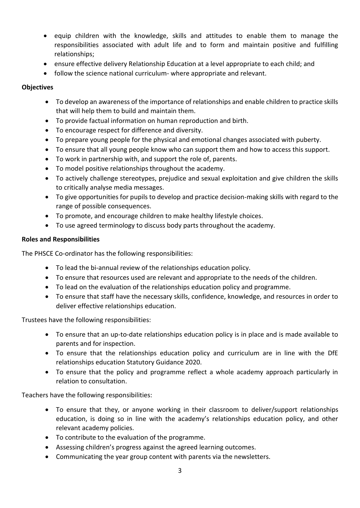- equip children with the knowledge, skills and attitudes to enable them to manage the responsibilities associated with adult life and to form and maintain positive and fulfilling relationships;
- ensure effective delivery Relationship Education at a level appropriate to each child; and
- follow the science national curriculum- where appropriate and relevant.

## **Objectives**

- To develop an awareness of the importance of relationships and enable children to practice skills that will help them to build and maintain them.
- To provide factual information on human reproduction and birth.
- To encourage respect for difference and diversity.
- To prepare young people for the physical and emotional changes associated with puberty.
- To ensure that all young people know who can support them and how to access this support.
- To work in partnership with, and support the role of, parents.
- To model positive relationships throughout the academy.
- To actively challenge stereotypes, prejudice and sexual exploitation and give children the skills to critically analyse media messages.
- To give opportunities for pupils to develop and practice decision-making skills with regard to the range of possible consequences.
- To promote, and encourage children to make healthy lifestyle choices.
- To use agreed terminology to discuss body parts throughout the academy.

## **Roles and Responsibilities**

The PHSCE Co-ordinator has the following responsibilities:

- To lead the bi-annual review of the relationships education policy.
- To ensure that resources used are relevant and appropriate to the needs of the children.
- To lead on the evaluation of the relationships education policy and programme.
- To ensure that staff have the necessary skills, confidence, knowledge, and resources in order to deliver effective relationships education.

Trustees have the following responsibilities:

- To ensure that an up-to-date relationships education policy is in place and is made available to parents and for inspection.
- To ensure that the relationships education policy and curriculum are in line with the DfE relationships education Statutory Guidance 2020.
- To ensure that the policy and programme reflect a whole academy approach particularly in relation to consultation.

Teachers have the following responsibilities:

- To ensure that they, or anyone working in their classroom to deliver/support relationships education, is doing so in line with the academy's relationships education policy, and other relevant academy policies.
- To contribute to the evaluation of the programme.
- Assessing children's progress against the agreed learning outcomes.
- Communicating the year group content with parents via the newsletters.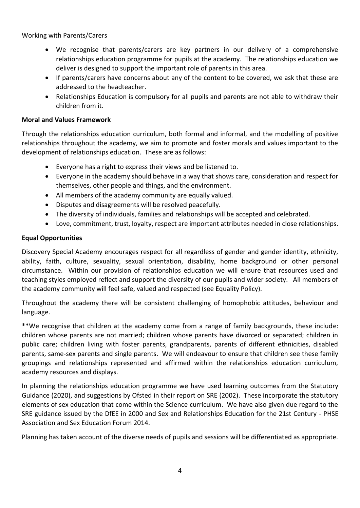## Working with Parents/Carers

- We recognise that parents/carers are key partners in our delivery of a comprehensive relationships education programme for pupils at the academy. The relationships education we deliver is designed to support the important role of parents in this area.
- If parents/carers have concerns about any of the content to be covered, we ask that these are addressed to the headteacher.
- Relationships Education is compulsory for all pupils and parents are not able to withdraw their children from it.

## **Moral and Values Framework**

Through the relationships education curriculum, both formal and informal, and the modelling of positive relationships throughout the academy, we aim to promote and foster morals and values important to the development of relationships education. These are as follows:

- Everyone has a right to express their views and be listened to.
- Everyone in the academy should behave in a way that shows care, consideration and respect for themselves, other people and things, and the environment.
- All members of the academy community are equally valued.
- Disputes and disagreements will be resolved peacefully.
- The diversity of individuals, families and relationships will be accepted and celebrated.
- Love, commitment, trust, loyalty, respect are important attributes needed in close relationships.

## **Equal Opportunities**

Discovery Special Academy encourages respect for all regardless of gender and gender identity, ethnicity, ability, faith, culture, sexuality, sexual orientation, disability, home background or other personal circumstance. Within our provision of relationships education we will ensure that resources used and teaching styles employed reflect and support the diversity of our pupils and wider society. All members of the academy community will feel safe, valued and respected (see Equality Policy).

Throughout the academy there will be consistent challenging of homophobic attitudes, behaviour and language.

\*\*We recognise that children at the academy come from a range of family backgrounds, these include: children whose parents are not married; children whose parents have divorced or separated; children in public care; children living with foster parents, grandparents, parents of different ethnicities, disabled parents, same-sex parents and single parents. We will endeavour to ensure that children see these family groupings and relationships represented and affirmed within the relationships education curriculum, academy resources and displays.

In planning the relationships education programme we have used learning outcomes from the Statutory Guidance (2020), and suggestions by Ofsted in their report on SRE (2002). These incorporate the statutory elements of sex education that come within the Science curriculum. We have also given due regard to the SRE guidance issued by the DfEE in 2000 and Sex and Relationships Education for the 21st Century - PHSE Association and Sex Education Forum 2014.

Planning has taken account of the diverse needs of pupils and sessions will be differentiated as appropriate.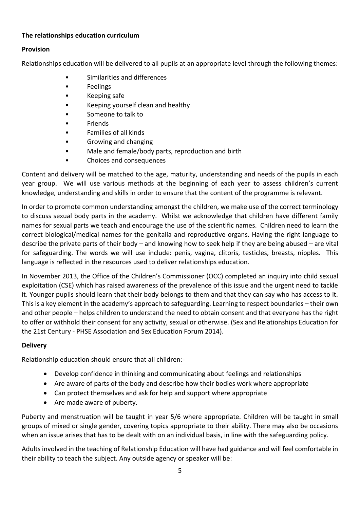# **The relationships education curriculum**

# **Provision**

Relationships education will be delivered to all pupils at an appropriate level through the following themes:

- Similarities and differences
- Feelings
- Keeping safe
- Keeping yourself clean and healthy
- Someone to talk to
- **Friends**
- Families of all kinds
- Growing and changing
- Male and female/body parts, reproduction and birth
- Choices and consequences

Content and delivery will be matched to the age, maturity, understanding and needs of the pupils in each year group. We will use various methods at the beginning of each year to assess children's current knowledge, understanding and skills in order to ensure that the content of the programme is relevant.

In order to promote common understanding amongst the children, we make use of the correct terminology to discuss sexual body parts in the academy. Whilst we acknowledge that children have different family names for sexual parts we teach and encourage the use of the scientific names. Children need to learn the correct biological/medical names for the genitalia and reproductive organs. Having the right language to describe the private parts of their body – and knowing how to seek help if they are being abused – are vital for safeguarding. The words we will use include: penis, vagina, clitoris, testicles, breasts, nipples. This language is reflected in the resources used to deliver relationships education.

In November 2013, the Office of the Children's Commissioner (OCC) completed an inquiry into child sexual exploitation (CSE) which has raised awareness of the prevalence of this issue and the urgent need to tackle it. Younger pupils should learn that their body belongs to them and that they can say who has access to it. This is a key element in the academy's approach to safeguarding. Learning to respect boundaries – their own and other people – helps children to understand the need to obtain consent and that everyone has the right to offer or withhold their consent for any activity, sexual or otherwise. (Sex and Relationships Education for the 21st Century - PHSE Association and Sex Education Forum 2014).

# **Delivery**

Relationship education should ensure that all children:-

- Develop confidence in thinking and communicating about feelings and relationships
- Are aware of parts of the body and describe how their bodies work where appropriate
- Can protect themselves and ask for help and support where appropriate
- Are made aware of puberty.

Puberty and menstruation will be taught in year 5/6 where appropriate. Children will be taught in small groups of mixed or single gender, covering topics appropriate to their ability. There may also be occasions when an issue arises that has to be dealt with on an individual basis, in line with the safeguarding policy.

Adults involved in the teaching of Relationship Education will have had guidance and will feel comfortable in their ability to teach the subject. Any outside agency or speaker will be: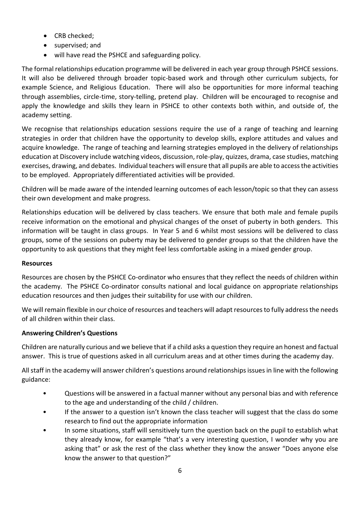- CRB checked;
- supervised; and
- will have read the PSHCE and safeguarding policy.

The formal relationships education programme will be delivered in each year group through PSHCE sessions. It will also be delivered through broader topic-based work and through other curriculum subjects, for example Science, and Religious Education. There will also be opportunities for more informal teaching through assemblies, circle-time, story-telling, pretend play. Children will be encouraged to recognise and apply the knowledge and skills they learn in PSHCE to other contexts both within, and outside of, the academy setting.

We recognise that relationships education sessions require the use of a range of teaching and learning strategies in order that children have the opportunity to develop skills, explore attitudes and values and acquire knowledge. The range of teaching and learning strategies employed in the delivery of relationships education at Discovery include watching videos, discussion, role-play, quizzes, drama, case studies, matching exercises, drawing, and debates. Individual teachers will ensure that all pupils are able to access the activities to be employed. Appropriately differentiated activities will be provided.

Children will be made aware of the intended learning outcomes of each lesson/topic so that they can assess their own development and make progress.

Relationships education will be delivered by class teachers. We ensure that both male and female pupils receive information on the emotional and physical changes of the onset of puberty in both genders. This information will be taught in class groups. In Year 5 and 6 whilst most sessions will be delivered to class groups, some of the sessions on puberty may be delivered to gender groups so that the children have the opportunity to ask questions that they might feel less comfortable asking in a mixed gender group.

# **Resources**

Resources are chosen by the PSHCE Co-ordinator who ensures that they reflect the needs of children within the academy. The PSHCE Co-ordinator consults national and local guidance on appropriate relationships education resources and then judges their suitability for use with our children.

We will remain flexible in our choice of resources and teachers will adapt resources to fully address the needs of all children within their class.

# **Answering Children's Questions**

Children are naturally curious and we believe that if a child asks a question they require an honest and factual answer. This is true of questions asked in all curriculum areas and at other times during the academy day.

All staff in the academy will answer children's questions around relationships issues in line with the following guidance:

- Questions will be answered in a factual manner without any personal bias and with reference to the age and understanding of the child / children.
- If the answer to a question isn't known the class teacher will suggest that the class do some research to find out the appropriate information
- In some situations, staff will sensitively turn the question back on the pupil to establish what they already know, for example "that's a very interesting question, I wonder why you are asking that" or ask the rest of the class whether they know the answer "Does anyone else know the answer to that question?"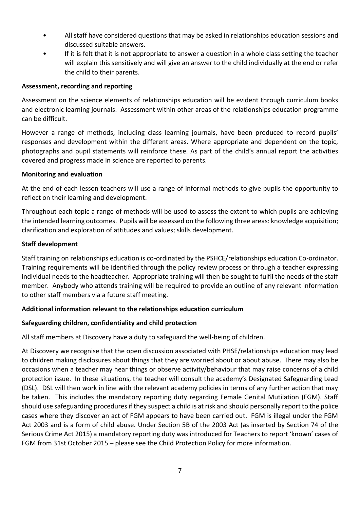- All staff have considered questions that may be asked in relationships education sessions and discussed suitable answers.
- If it is felt that it is not appropriate to answer a question in a whole class setting the teacher will explain this sensitively and will give an answer to the child individually at the end or refer the child to their parents.

#### **Assessment, recording and reporting**

Assessment on the science elements of relationships education will be evident through curriculum books and electronic learning journals. Assessment within other areas of the relationships education programme can be difficult.

However a range of methods, including class learning journals, have been produced to record pupils' responses and development within the different areas. Where appropriate and dependent on the topic, photographs and pupil statements will reinforce these. As part of the child's annual report the activities covered and progress made in science are reported to parents.

## **Monitoring and evaluation**

At the end of each lesson teachers will use a range of informal methods to give pupils the opportunity to reflect on their learning and development.

Throughout each topic a range of methods will be used to assess the extent to which pupils are achieving the intended learning outcomes. Pupils will be assessed on the following three areas: knowledge acquisition; clarification and exploration of attitudes and values; skills development.

## **Staff development**

Staff training on relationships education is co-ordinated by the PSHCE/relationships education Co-ordinator. Training requirements will be identified through the policy review process or through a teacher expressing individual needs to the headteacher. Appropriate training will then be sought to fulfil the needs of the staff member. Anybody who attends training will be required to provide an outline of any relevant information to other staff members via a future staff meeting.

# **Additional information relevant to the relationships education curriculum**

# **Safeguarding children, confidentiality and child protection**

All staff members at Discovery have a duty to safeguard the well-being of children.

At Discovery we recognise that the open discussion associated with PHSE/relationships education may lead to children making disclosures about things that they are worried about or about abuse. There may also be occasions when a teacher may hear things or observe activity/behaviour that may raise concerns of a child protection issue. In these situations, the teacher will consult the academy's Designated Safeguarding Lead (DSL). DSL will then work in line with the relevant academy policies in terms of any further action that may be taken. This includes the mandatory reporting duty regarding Female Genital Mutilation (FGM). Staff should use safeguarding procedures if they suspect a child is at risk and should personally report to the police cases where they discover an act of FGM appears to have been carried out. FGM is illegal under the FGM Act 2003 and is a form of child abuse. Under Section 5B of the 2003 Act (as inserted by Section 74 of the Serious Crime Act 2015) a mandatory reporting duty was introduced for Teachers to report 'known' cases of FGM from 31st October 2015 – please see the Child Protection Policy for more information.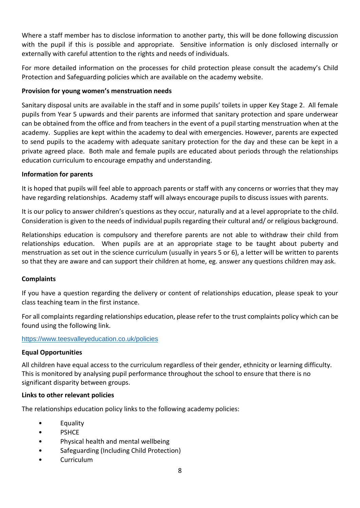Where a staff member has to disclose information to another party, this will be done following discussion with the pupil if this is possible and appropriate. Sensitive information is only disclosed internally or externally with careful attention to the rights and needs of individuals.

For more detailed information on the processes for child protection please consult the academy's Child Protection and Safeguarding policies which are available on the academy website.

# **Provision for young women's menstruation needs**

Sanitary disposal units are available in the staff and in some pupils' toilets in upper Key Stage 2. All female pupils from Year 5 upwards and their parents are informed that sanitary protection and spare underwear can be obtained from the office and from teachers in the event of a pupil starting menstruation when at the academy. Supplies are kept within the academy to deal with emergencies. However, parents are expected to send pupils to the academy with adequate sanitary protection for the day and these can be kept in a private agreed place. Both male and female pupils are educated about periods through the relationships education curriculum to encourage empathy and understanding.

#### **Information for parents**

It is hoped that pupils will feel able to approach parents or staff with any concerns or worries that they may have regarding relationships. Academy staff will always encourage pupils to discuss issues with parents.

It is our policy to answer children's questions as they occur, naturally and at a level appropriate to the child. Consideration is given to the needs of individual pupils regarding their cultural and/ or religious background.

Relationships education is compulsory and therefore parents are not able to withdraw their child from relationships education. When pupils are at an appropriate stage to be taught about puberty and menstruation as set out in the science curriculum (usually in years 5 or 6), a letter will be written to parents so that they are aware and can support their children at home, eg. answer any questions children may ask.

#### **Complaints**

If you have a question regarding the delivery or content of relationships education, please speak to your class teaching team in the first instance.

For all complaints regarding relationships education, please refer to the trust complaints policy which can be found using the following link.

#### <https://www.teesvalleyeducation.co.uk/policies>

#### **Equal Opportunities**

All children have equal access to the curriculum regardless of their gender, ethnicity or learning difficulty. This is monitored by analysing pupil performance throughout the school to ensure that there is no significant disparity between groups.

#### **Links to other relevant policies**

The relationships education policy links to the following academy policies:

- Equality
- PSHCE
- Physical health and mental wellbeing
- Safeguarding (Including Child Protection)
- Curriculum